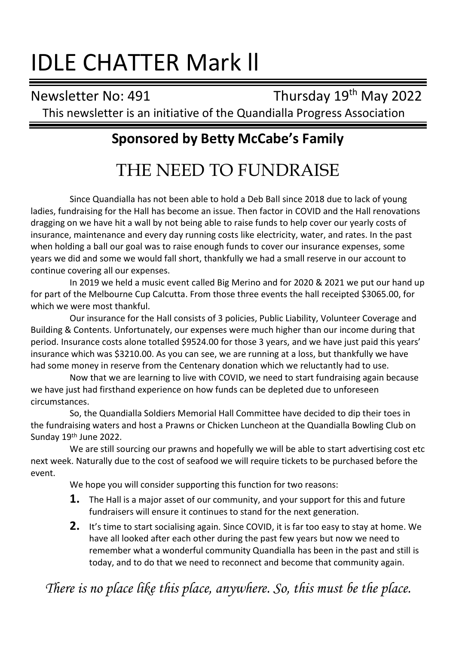# IDLE CHATTER Mark ll

Newsletter No: 491 Thursday 19<sup>th</sup> May 2022

This newsletter is an initiative of the Quandialla Progress Association

## **Sponsored by Betty McCabe's Family**

## THE NEED TO FUNDRAISE

Since Quandialla has not been able to hold a Deb Ball since 2018 due to lack of young ladies, fundraising for the Hall has become an issue. Then factor in COVID and the Hall renovations dragging on we have hit a wall by not being able to raise funds to help cover our yearly costs of insurance, maintenance and every day running costs like electricity, water, and rates. In the past when holding a ball our goal was to raise enough funds to cover our insurance expenses, some years we did and some we would fall short, thankfully we had a small reserve in our account to continue covering all our expenses.

In 2019 we held a music event called Big Merino and for 2020 & 2021 we put our hand up for part of the Melbourne Cup Calcutta. From those three events the hall receipted \$3065.00, for which we were most thankful.

Our insurance for the Hall consists of 3 policies, Public Liability, Volunteer Coverage and Building & Contents. Unfortunately, our expenses were much higher than our income during that period. Insurance costs alone totalled \$9524.00 for those 3 years, and we have just paid this years' insurance which was \$3210.00. As you can see, we are running at a loss, but thankfully we have had some money in reserve from the Centenary donation which we reluctantly had to use.

Now that we are learning to live with COVID, we need to start fundraising again because we have just had firsthand experience on how funds can be depleted due to unforeseen circumstances.

So, the Quandialla Soldiers Memorial Hall Committee have decided to dip their toes in the fundraising waters and host a Prawns or Chicken Luncheon at the Quandialla Bowling Club on Sunday 19th June 2022.

We are still sourcing our prawns and hopefully we will be able to start advertising cost etc next week. Naturally due to the cost of seafood we will require tickets to be purchased before the event.

We hope you will consider supporting this function for two reasons:

- **1.** The Hall is a major asset of our community, and your support for this and future fundraisers will ensure it continues to stand for the next generation.
- **2.** It's time to start socialising again. Since COVID, it is far too easy to stay at home. We have all looked after each other during the past few years but now we need to remember what a wonderful community Quandialla has been in the past and still is today, and to do that we need to reconnect and become that community again.

*There is no place like this place, anywhere. So, this must be the place.*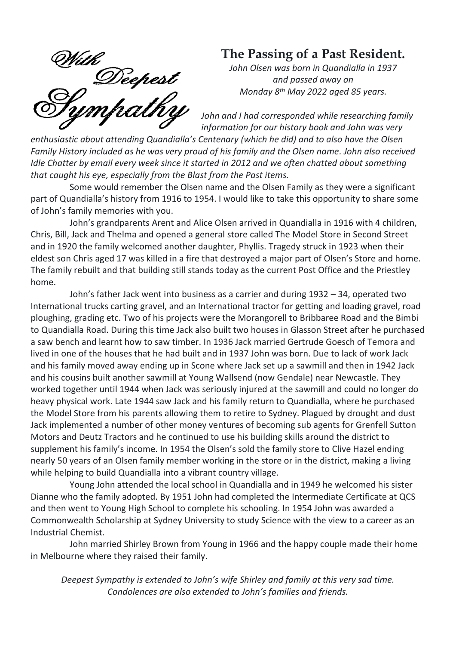*With*<br>Deepest<br>Sympathy

## **The Passing of a Past Resident.**

*John Olsen was born in Quandialla in 1937 and passed away on Monday 8th May 2022 aged 85 years.*

*John and I had corresponded while researching family information for our history book and John was very* 

*enthusiastic about attending Quandialla's Centenary (which he did) and to also have the Olsen Family History included as he was very proud of his family and the Olsen name. John also received Idle Chatter by email every week since it started in 2012 and we often chatted about something that caught his eye, especially from the Blast from the Past items.*

Some would remember the Olsen name and the Olsen Family as they were a significant part of Quandialla's history from 1916 to 1954. I would like to take this opportunity to share some of John's family memories with you.

John's grandparents Arent and Alice Olsen arrived in Quandialla in 1916 with 4 children, Chris, Bill, Jack and Thelma and opened a general store called The Model Store in Second Street and in 1920 the family welcomed another daughter, Phyllis. Tragedy struck in 1923 when their eldest son Chris aged 17 was killed in a fire that destroyed a major part of Olsen's Store and home. The family rebuilt and that building still stands today as the current Post Office and the Priestley home.

John's father Jack went into business as a carrier and during 1932 – 34, operated two International trucks carting gravel, and an International tractor for getting and loading gravel, road ploughing, grading etc. Two of his projects were the Morangorell to Bribbaree Road and the Bimbi to Quandialla Road. During this time Jack also built two houses in Glasson Street after he purchased a saw bench and learnt how to saw timber. In 1936 Jack married Gertrude Goesch of Temora and lived in one of the houses that he had built and in 1937 John was born. Due to lack of work Jack and his family moved away ending up in Scone where Jack set up a sawmill and then in 1942 Jack and his cousins built another sawmill at Young Wallsend (now Gendale) near Newcastle. They worked together until 1944 when Jack was seriously injured at the sawmill and could no longer do heavy physical work. Late 1944 saw Jack and his family return to Quandialla, where he purchased the Model Store from his parents allowing them to retire to Sydney. Plagued by drought and dust Jack implemented a number of other money ventures of becoming sub agents for Grenfell Sutton Motors and Deutz Tractors and he continued to use his building skills around the district to supplement his family's income. In 1954 the Olsen's sold the family store to Clive Hazel ending nearly 50 years of an Olsen family member working in the store or in the district, making a living while helping to build Quandialla into a vibrant country village.

Young John attended the local school in Quandialla and in 1949 he welcomed his sister Dianne who the family adopted. By 1951 John had completed the Intermediate Certificate at QCS and then went to Young High School to complete his schooling. In 1954 John was awarded a Commonwealth Scholarship at Sydney University to study Science with the view to a career as an Industrial Chemist.

John married Shirley Brown from Young in 1966 and the happy couple made their home in Melbourne where they raised their family.

*Deepest Sympathy is extended to John's wife Shirley and family at this very sad time. Condolences are also extended to John's families and friends.*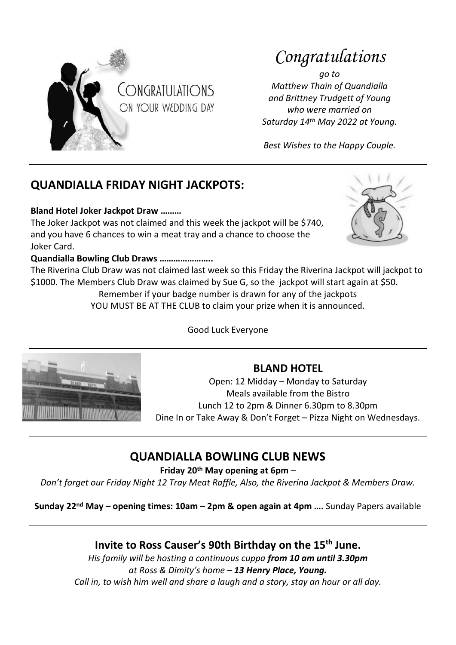

## *Congratulations*

*go to Matthew Thain of Quandialla and Brittney Trudgett of Young who were married on Saturday 14th May 2022 at Young.*

*Best Wishes to the Happy Couple.*

## **QUANDIALLA FRIDAY NIGHT JACKPOTS:**

#### **Bland Hotel Joker Jackpot Draw ………**

The Joker Jackpot was not claimed and this week the jackpot will be \$740, and you have 6 chances to win a meat tray and a chance to choose the Joker Card.



#### **Quandialla Bowling Club Draws …………………..**

The Riverina Club Draw was not claimed last week so this Friday the Riverina Jackpot will jackpot to \$1000. The Members Club Draw was claimed by Sue G, so the jackpot will start again at \$50. Remember if your badge number is drawn for any of the jackpots

YOU MUST BE AT THE CLUB to claim your prize when it is announced.

Good Luck Everyone



### **BLAND HOTEL**

Open: 12 Midday – Monday to Saturday Meals available from the Bistro Lunch 12 to 2pm & Dinner 6.30pm to 8.30pm Dine In or Take Away & Don't Forget – Pizza Night on Wednesdays.

### **QUANDIALLA BOWLING CLUB NEWS**

**Friday 20th May opening at 6pm** –

*Don't forget our Friday Night 12 Tray Meat Raffle, Also, the Riverina Jackpot & Members Draw.*

**Sunday 22nd May – opening times: 10am – 2pm & open again at 4pm ….** Sunday Papers available

#### **Invite to Ross Causer's 90th Birthday on the 15th June.**

*His family will be hosting a continuous cuppa from 10 am until 3.30pm at Ross & Dimity's home – 13 Henry Place, Young. Call in, to wish him well and share a laugh and a story, stay an hour or all day.*